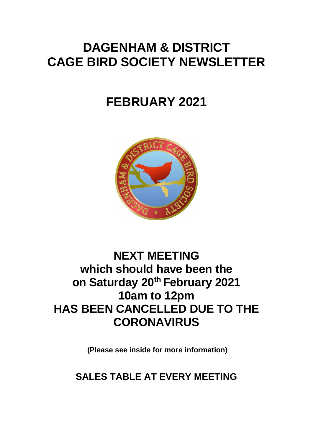# **DAGENHAM & DISTRICT CAGE BIRD SOCIETY NEWSLETTER**

# **FEBRUARY 2021**



# **NEXT MEETING which should have been the on Saturday 20th February 2021 10am to 12pm HAS BEEN CANCELLED DUE TO THE CORONAVIRUS**

**(Please see inside for more information)**

**SALES TABLE AT EVERY MEETING**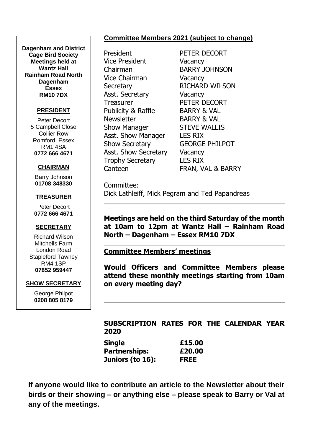### **Committee Members 2021 (subject to change)**

**Dagenham and District Cage Bird Society Meetings held at Wantz Hall Rainham Road North Dagenham Essex RM10 7DX**

#### **PRESIDENT**

Peter Decort 5 Campbell Close Collier Row Romford, Essex RM1 4SA **0772 666 4671**

#### **CHAIRMAN**

Barry Johnson **01708 348330**

#### **TREASURER**

Peter Decort **0772 666 4671**

#### **SECRETARY**

Richard Wilson Mitchells Farm London Road Stapleford Tawney RM4 1SP **07852 959447**

#### **SHOW SECRETARY**

George Philpot **0208 805 8179**

President PFTFR DFCORT Vice President Vacancy Chairman BARRY JOHNSON Vice Chairman Vacancy Secretary RICHARD WILSON Asst. Secretary Vacancy Treasurer PETER DECORT Publicity & Raffle BARRY & VAL Newsletter BARRY & VAL Show Manager STEVE WALLIS Asst. Show Manager LES RIX Show Secretary **GEORGE PHILPOT** Asst. Show Secretary Vacancy Trophy Secretary LES RIX

Canteen **FRAN, VAL & BARRY** 

Committee: Dick Lathleiff, Mick Pegram and Ted Papandreas

**Meetings are held on the third Saturday of the month at 10am to 12pm at Wantz Hall – Rainham Road North – Dagenham – Essex RM10 7DX**

#### **Committee Members' meetings**

**Would Officers and Committee Members please attend these monthly meetings starting from 10am on every meeting day?**

#### **SUBSCRIPTION RATES FOR THE CALENDAR YEAR 2020**

| Single               | £15.00      |
|----------------------|-------------|
| <b>Partnerships:</b> | £20.00      |
| Juniors (to 16):     | <b>FREE</b> |

**If anyone would like to contribute an article to the Newsletter about their birds or their showing – or anything else – please speak to Barry or Val at any of the meetings.**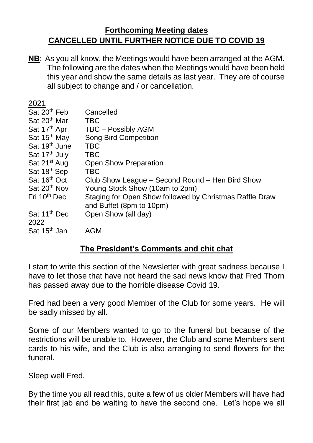## **Forthcoming Meeting dates CANCELLED UNTIL FURTHER NOTICE DUE TO COVID 19**

**NB**: As you all know, the Meetings would have been arranged at the AGM. The following are the dates when the Meetings would have been held this year and show the same details as last year. They are of course all subject to change and / or cancellation.

| 2021<br>Sat 20 <sup>th</sup> Feb<br>Sat 20 <sup>th</sup> Mar<br>Sat 17 <sup>th</sup> Apr<br>Sat 15 <sup>th</sup> May<br>Sat 19 <sup>th</sup> June<br>Sat 17 <sup>th</sup> July<br>Sat 21 <sup>st</sup> Aug<br>Sat 18 <sup>th</sup> Sep<br>Sat 16th Oct | Cancelled<br><b>TBC</b><br><b>TBC - Possibly AGM</b><br><b>Song Bird Competition</b><br><b>TBC</b><br><b>TBC</b><br><b>Open Show Preparation</b><br><b>TBC</b><br>Club Show League – Second Round – Hen Bird Show |
|--------------------------------------------------------------------------------------------------------------------------------------------------------------------------------------------------------------------------------------------------------|-------------------------------------------------------------------------------------------------------------------------------------------------------------------------------------------------------------------|
| Sat 20 <sup>th</sup> Nov                                                                                                                                                                                                                               | Young Stock Show (10am to 2pm)                                                                                                                                                                                    |
| Fri 10 <sup>th</sup> Dec                                                                                                                                                                                                                               | Staging for Open Show followed by Christmas Raffle Draw<br>and Buffet (8pm to 10pm)                                                                                                                               |
| Sat 11 <sup>th</sup> Dec<br>2022                                                                                                                                                                                                                       | Open Show (all day)                                                                                                                                                                                               |
| Sat 15 <sup>th</sup> Jan                                                                                                                                                                                                                               | <b>AGM</b>                                                                                                                                                                                                        |

## **The President's Comments and chit chat**

I start to write this section of the Newsletter with great sadness because I have to let those that have not heard the sad news know that Fred Thorn has passed away due to the horrible disease Covid 19.

Fred had been a very good Member of the Club for some years. He will be sadly missed by all.

Some of our Members wanted to go to the funeral but because of the restrictions will be unable to. However, the Club and some Members sent cards to his wife, and the Club is also arranging to send flowers for the funeral.

Sleep well Fred.

By the time you all read this, quite a few of us older Members will have had their first jab and be waiting to have the second one. Let's hope we all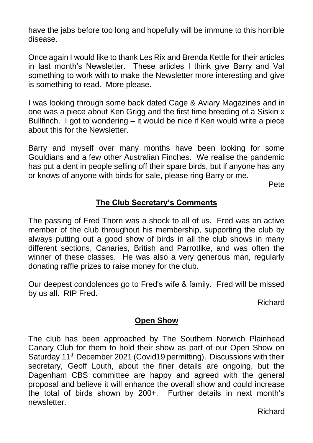have the jabs before too long and hopefully will be immune to this horrible disease.

Once again I would like to thank Les Rix and Brenda Kettle for their articles in last month's Newsletter. These articles I think give Barry and Val something to work with to make the Newsletter more interesting and give is something to read. More please.

I was looking through some back dated Cage & Aviary Magazines and in one was a piece about Ken Grigg and the first time breeding of a Siskin x Bullfinch. I got to wondering – it would be nice if Ken would write a piece about this for the Newsletter.

Barry and myself over many months have been looking for some Gouldians and a few other Australian Finches. We realise the pandemic has put a dent in people selling off their spare birds, but if anyone has any or knows of anyone with birds for sale, please ring Barry or me.

Pete

## **The Club Secretary's Comments**

The passing of Fred Thorn was a shock to all of us. Fred was an active member of the club throughout his membership, supporting the club by always putting out a good show of birds in all the club shows in many different sections, Canaries, British and Parrotlike, and was often the winner of these classes. He was also a very generous man, regularly donating raffle prizes to raise money for the club.

Our deepest condolences go to Fred's wife & family. Fred will be missed by us all. RIP Fred.

Richard

## **Open Show**

The club has been approached by The Southern Norwich Plainhead Canary Club for them to hold their show as part of our Open Show on Saturday 11<sup>th</sup> December 2021 (Covid19 permitting). Discussions with their secretary, Geoff Louth, about the finer details are ongoing, but the Dagenham CBS committee are happy and agreed with the general proposal and believe it will enhance the overall show and could increase the total of birds shown by 200+. Further details in next month's newsletter.

Richard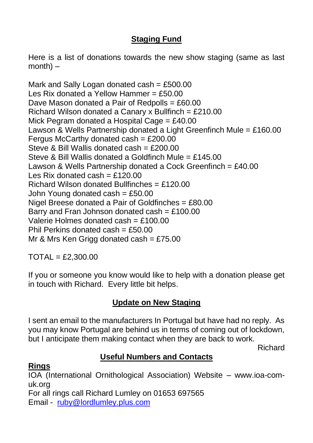# **Staging Fund**

Here is a list of donations towards the new show staging (same as last  $month$ ) –

Mark and Sally Logan donated cash  $=$  £500.00 Les Rix donated a Yellow Hammer =  $£50.00$ Dave Mason donated a Pair of Redpolls = £60.00 Richard Wilson donated a Canary x Bullfinch = £210.00 Mick Pegram donated a Hospital Cage = £40.00 Lawson & Wells Partnership donated a Light Greenfinch Mule = £160.00 Fergus McCarthy donated cash =  $£200.00$ Steve & Bill Wallis donated cash = £200.00 Steve & Bill Wallis donated a Goldfinch Mule = £145.00 Lawson & Wells Partnership donated a Cock Greenfinch = £40.00 Les Rix donated cash  $=$  £120.00 Richard Wilson donated Bullfinches = £120.00 John Young donated cash =  $£50.00$ Nigel Breese donated a Pair of Goldfinches = £80.00 Barry and Fran Johnson donated cash =  $£100.00$ Valerie Holmes donated cash = £100.00 Phil Perkins donated cash = £50.00 Mr & Mrs Ken Grigg donated cash =  $£75.00$ 

 $TOTAL = £2.300.00$ 

If you or someone you know would like to help with a donation please get in touch with Richard. Every little bit helps.

## **Update on New Staging**

I sent an email to the manufacturers In Portugal but have had no reply. As you may know Portugal are behind us in terms of coming out of lockdown, but I anticipate them making contact when they are back to work.

Richard

# **Useful Numbers and Contacts**

### **Rings**

IOA (International Ornithological Association) Website – www.ioa-comuk.org For all rings call Richard Lumley on 01653 697565 Email - [ruby@lordlumley.plus.com](mailto:ruby@lordlumley.plus.com)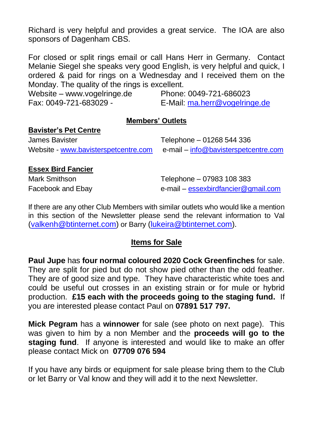Richard is very helpful and provides a great service. The IOA are also sponsors of Dagenham CBS.

For closed or split rings email or call Hans Herr in Germany. Contact Melanie Siegel she speaks very good English, is very helpful and quick, I ordered & paid for rings on a Wednesday and I received them on the Monday. The quality of the rings is excellent.

Website – www.vogelringe.de Phone: 0049-721-686023

Fax: 0049-721-683029 - E-Mail: [ma.herr@vogelringe.de](mailto:ma.herr@vogelringe.de)

### **Members' Outlets**

### **Bavister's Pet Centre**

James Bavister Telephone – 01268 544 336 Website - [www.bavisterspetcentre.com](http://www.bavisterspetcentre.com/) e-mail – [info@bavisterspetcentre.com](mailto:info@bavisterspetcentre.com)

### **Essex Bird Fancier**

Mark Smithson **Mark Smithson** Telephone – 07983 108 383 Facebook and Ebay e-mail – [essexbirdfancier@gmail.com](mailto:essexbirdfancier@gmail.com)

If there are any other Club Members with similar outlets who would like a mention in this section of the Newsletter please send the relevant information to Val [\(valkenh@btinternet.com\)](mailto:valkenh@btinternet.com) or Barry [\(lukeira@btinternet.com\)](mailto:lukeira@btinternet.com).

## **Items for Sale**

**Paul Jupe** has **four normal coloured 2020 Cock Greenfinches** for sale. They are split for pied but do not show pied other than the odd feather. They are of good size and type. They have characteristic white toes and could be useful out crosses in an existing strain or for mule or hybrid production. **£15 each with the proceeds going to the staging fund.** If you are interested please contact Paul on **07891 517 797.**

**Mick Pegram** has a **winnower** for sale (see photo on next page). This was given to him by a non Member and the **proceeds will go to the staging fund**. If anyone is interested and would like to make an offer please contact Mick on **07709 076 594**

If you have any birds or equipment for sale please bring them to the Club or let Barry or Val know and they will add it to the next Newsletter.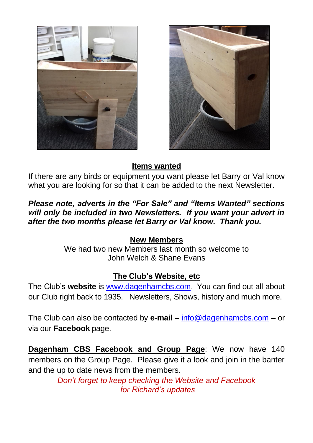



# **Items wanted**

If there are any birds or equipment you want please let Barry or Val know what you are looking for so that it can be added to the next Newsletter.

## *Please note, adverts in the "For Sale" and "Items Wanted" sections will only be included in two Newsletters. If you want your advert in after the two months please let Barry or Val know. Thank you.*

## **New Members**

We had two new Members last month so welcome to John Welch & Shane Evans

## **The Club's Website, etc**

The Club's **website** is [www.dagenhamcbs.com](http://www.dagenhamcbs.com/). You can find out all about our Club right back to 1935. Newsletters, Shows, history and much more.

The Club can also be contacted by **e-mail** – [info@dagenhamcbs.com](mailto:info@dagenhamcbs.com) – or via our **Facebook** page.

**Dagenham CBS Facebook and Group Page**: We now have 140 members on the Group Page. Please give it a look and join in the banter and the up to date news from the members.

> *Don't forget to keep checking the Website and Facebook for Richard's updates*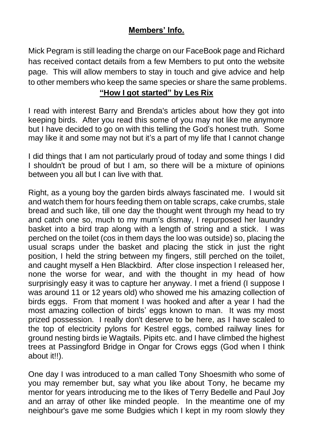# **Members' Info.**

Mick Pegram is still leading the charge on our FaceBook page and Richard has received contact details from a few Members to put onto the website page. This will allow members to stay in touch and give advice and help to other members who keep the same species or share the same problems.

## **"How I got started" by Les Rix**

I read with interest Barry and Brenda's articles about how they got into keeping birds. After you read this some of you may not like me anymore but I have decided to go on with this telling the God's honest truth. Some may like it and some may not but it's a part of my life that I cannot change

I did things that I am not particularly proud of today and some things I did I shouldn't be proud of but I am, so there will be a mixture of opinions between you all but I can live with that.

Right, as a young boy the garden birds always fascinated me. I would sit and watch them for hours feeding them on table scraps, cake crumbs, stale bread and such like, till one day the thought went through my head to try and catch one so, much to my mum's dismay, I repurposed her laundry basket into a bird trap along with a length of string and a stick. I was perched on the toilet (cos in them days the loo was outside) so, placing the usual scraps under the basket and placing the stick in just the right position, I held the string between my fingers, still perched on the toilet, and caught myself a Hen Blackbird. After close inspection I released her, none the worse for wear, and with the thought in my head of how surprisingly easy it was to capture her anyway. I met a friend (I suppose I was around 11 or 12 years old) who showed me his amazing collection of birds eggs. From that moment I was hooked and after a year I had the most amazing collection of birds' eggs known to man. It was my most prized possession. I really don't deserve to be here, as I have scaled to the top of electricity pylons for Kestrel eggs, combed railway lines for ground nesting birds ie Wagtails. Pipits etc. and I have climbed the highest trees at Passingford Bridge in Ongar for Crows eggs (God when I think about it!!).

One day I was introduced to a man called Tony Shoesmith who some of you may remember but, say what you like about Tony, he became my mentor for years introducing me to the likes of Terry Bedelle and Paul Joy and an array of other like minded people. In the meantime one of my neighbour's gave me some Budgies which I kept in my room slowly they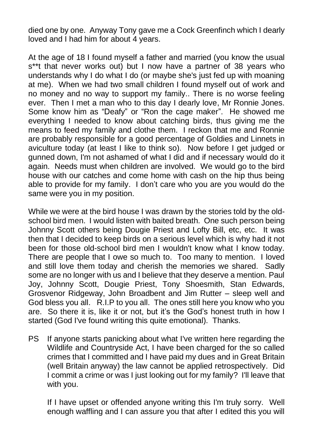died one by one. Anyway Tony gave me a Cock Greenfinch which I dearly loved and I had him for about 4 years.

At the age of 18 I found myself a father and married (you know the usual s\*\*t that never works out) but I now have a partner of 38 years who understands why I do what I do (or maybe she's just fed up with moaning at me). When we had two small children I found myself out of work and no money and no way to support my family.. There is no worse feeling ever. Then I met a man who to this day I dearly love, Mr Ronnie Jones. Some know him as "Deafy" or "Ron the cage maker". He showed me everything I needed to know about catching birds, thus giving me the means to feed my family and clothe them. I reckon that me and Ronnie are probably responsible for a good percentage of Goldies and Linnets in aviculture today (at least I like to think so). Now before I get judged or gunned down, I'm not ashamed of what I did and if necessary would do it again. Needs must when children are involved. We would go to the bird house with our catches and come home with cash on the hip thus being able to provide for my family. I don't care who you are you would do the same were you in my position.

While we were at the bird house I was drawn by the stories told by the oldschool bird men. I would listen with baited breath. One such person being Johnny Scott others being Dougie Priest and Lofty Bill, etc, etc. It was then that I decided to keep birds on a serious level which is why had it not been for those old-school bird men I wouldn't know what I know today. There are people that I owe so much to. Too many to mention. I loved and still love them today and cherish the memories we shared. Sadly some are no longer with us and I believe that they deserve a mention. Paul Joy, Johnny Scott, Dougie Priest, Tony Shoesmith, Stan Edwards, Grosvenor Ridgeway, John Broadbent and Jim Rutter – sleep well and God bless you all. R.I.P to you all. The ones still here you know who you are. So there it is, like it or not, but it's the God's honest truth in how I started (God I've found writing this quite emotional). Thanks.

PS If anyone starts panicking about what I've written here regarding the Wildlife and Countryside Act, I have been charged for the so called crimes that I committed and I have paid my dues and in Great Britain (well Britain anyway) the law cannot be applied retrospectively. Did I commit a crime or was I just looking out for my family? I'll leave that with you.

If I have upset or offended anyone writing this I'm truly sorry. Well enough waffling and I can assure you that after I edited this you will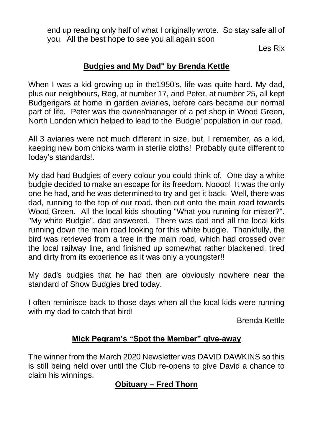end up reading only half of what I originally wrote. So stay safe all of you. All the best hope to see you all again soon

Les Rix

# **Budgies and My Dad" by Brenda Kettle**

When I was a kid growing up in the 1950's, life was quite hard. My dad, plus our neighbours, Reg, at number 17, and Peter, at number 25, all kept Budgerigars at home in garden aviaries, before cars became our normal part of life. Peter was the owner/manager of a pet shop in Wood Green, North London which helped to lead to the 'Budgie' population in our road.

All 3 aviaries were not much different in size, but, I remember, as a kid, keeping new born chicks warm in sterile cloths! Probably quite different to today's standards!.

My dad had Budgies of every colour you could think of. One day a white budgie decided to make an escape for its freedom. Noooo! It was the only one he had, and he was determined to try and get it back. Well, there was dad, running to the top of our road, then out onto the main road towards Wood Green. All the local kids shouting "What you running for mister?". "My white Budgie", dad answered. There was dad and all the local kids running down the main road looking for this white budgie. Thankfully, the bird was retrieved from a tree in the main road, which had crossed over the local railway line, and finished up somewhat rather blackened, tired and dirty from its experience as it was only a youngster!!

My dad's budgies that he had then are obviously nowhere near the standard of Show Budgies bred today.

I often reminisce back to those days when all the local kids were running with my dad to catch that bird!

Brenda Kettle

## **Mick Pegram's "Spot the Member" give-away**

The winner from the March 2020 Newsletter was DAVID DAWKINS so this is still being held over until the Club re-opens to give David a chance to claim his winnings.

## **Obituary – Fred Thorn**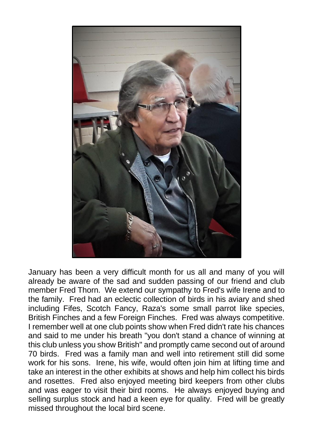

January has been a very difficult month for us all and many of you will already be aware of the sad and sudden passing of our friend and club member Fred Thorn. We extend our sympathy to Fred's wife Irene and to the family. Fred had an eclectic collection of birds in his aviary and shed including Fifes, Scotch Fancy, Raza's some small parrot like species, British Finches and a few Foreign Finches. Fred was always competitive. I remember well at one club points show when Fred didn't rate his chances and said to me under his breath "you don't stand a chance of winning at this club unless you show British" and promptly came second out of around 70 birds. Fred was a family man and well into retirement still did some work for his sons. Irene, his wife, would often join him at lifting time and take an interest in the other exhibits at shows and help him collect his birds and rosettes. Fred also enjoyed meeting bird keepers from other clubs and was eager to visit their bird rooms. He always enjoyed buying and selling surplus stock and had a keen eye for quality. Fred will be greatly missed throughout the local bird scene.